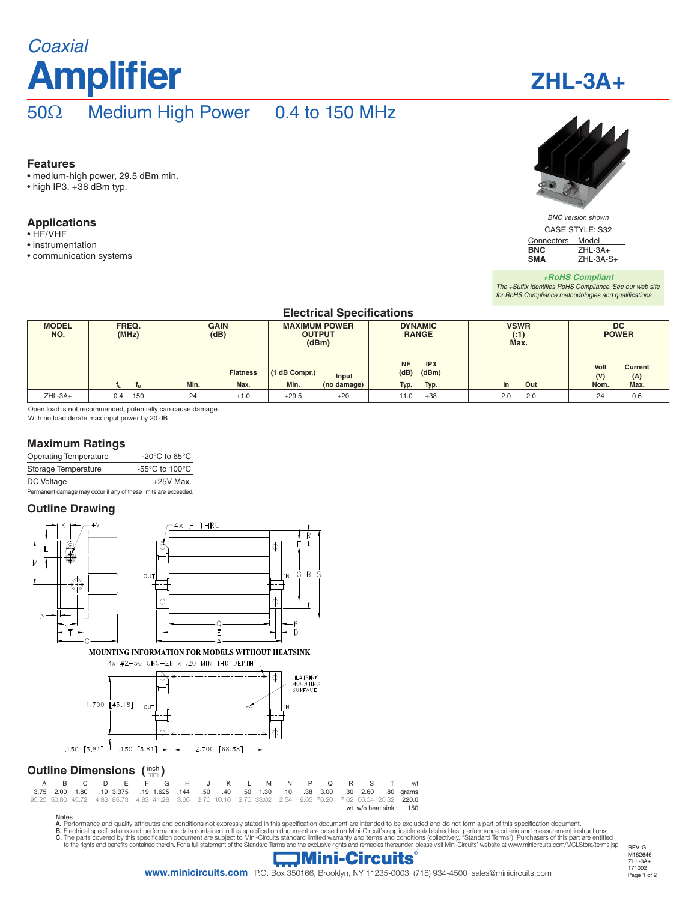# **Amplifier** *Coaxial*

# **ZHL-3A+**

# 50Ω Medium High Power 0.4 to 150 MHz

#### **Features**

- medium-high power, 29.5 dBm min.
- high IP3, +38 dBm typ.

#### **Applications**

- HF/VHF
- instrumentation
- communication systems



*BNC version shown*

CASE STYLE: S32 Connectors Model<br>BNC ZHL-3/ **BNC ZHL-3A+**<br>**SMA ZHL-3A-SMA** ZHL-3A-S+

#### *+RoHS Compliant The +Suffix identifies RoHS Compliance. See our web site for RoHS Compliance methodologies and qualifications*

### **Electrical Specifications**

| <b>MODEL</b><br>NO. | FREQ.<br>(MHz) | <b>GAIN</b><br>(dB) | <b>MAXIMUM POWER</b><br><b>OUTPUT</b><br>(dBm) | <b>DYNAMIC</b><br><b>RANGE</b>                | <b>VSWR</b><br>( : 1)<br>Max. | <b>DC</b><br><b>POWER</b>            |  |
|---------------------|----------------|---------------------|------------------------------------------------|-----------------------------------------------|-------------------------------|--------------------------------------|--|
|                     |                | <b>Flatness</b>     | (1 dB Compr.)<br>Input                         | <b>NF</b><br>IP <sub>3</sub><br>(dBm)<br>(dB) |                               | Volt<br><b>Current</b><br>(V)<br>(A) |  |
|                     | -              | Min.<br>Max.        | Min.<br>(no damage)                            | Typ.<br>Typ.                                  | Out<br>In.                    | Max.<br>Nom.                         |  |
| $ZHL-3A+$           | 150<br>0.4     | 24<br>±1.0          | $+29.5$<br>$+20$                               | $+38$<br>11.0                                 | 2.0<br>2.0                    | 24<br>0.6                            |  |

Open load is not recommended, potentially can cause damage. With no load derate max input power by 20 dB

#### **Maximum Ratings**

| <b>Operating Temperature</b> | -20 $^{\circ}$ C to 65 $^{\circ}$ C |
|------------------------------|-------------------------------------|
| Storage Temperature          | -55°C to 100°C                      |
| DC Voltage                   | $+25V$ Max.                         |
|                              |                                     |

Permanent damage may occur if any of these limits are exceeded.

#### **Outline Drawing**



Notes<br>A. Performance and quality attributes and conditions not expressly stated in this specification document are intended to be excluded and do not form a part of this specification document.<br>B. Electrical specifications

### **Mini-Circuits**

REV. G M162646 ZHL-3A+ 171002